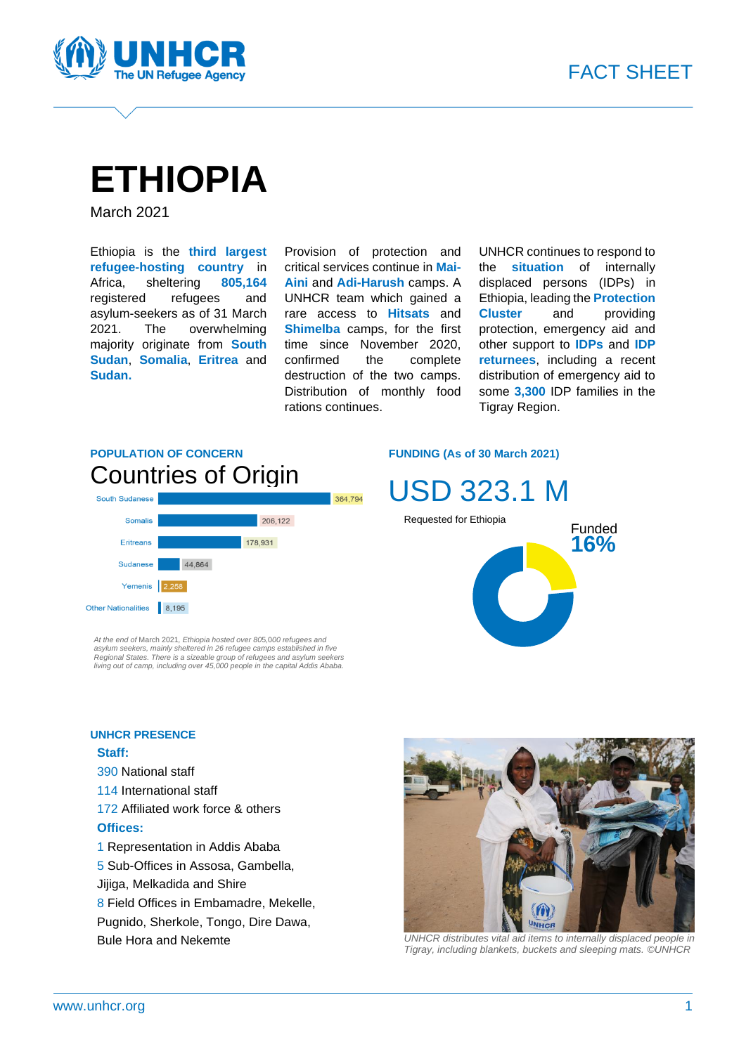



# **ETHIOPIA**

March 2021

Ethiopia is the **third largest refugee-hosting country** in Africa, sheltering **805,164** registered refugees and asylum-seekers as of 31 March 2021. The overwhelming majority originate from **South Sudan**, **Somalia**, **Eritrea** and **Sudan.**

Provision of protection and critical services continue in **Mai-Aini** and **Adi-Harush** camps. A UNHCR team which gained a rare access to **Hitsats** and **Shimelba** camps, for the first time since November 2020, confirmed the complete destruction of the two camps. Distribution of monthly food rations continues.

UNHCR continues to respond to the **situation** of internally displaced persons (IDPs) in Ethiopia, leading the **Protection Cluster** and providing protection, emergency aid and other support to **IDPs** and **IDP returnees**, including a recent distribution of emergency aid to some **3,300** IDP families in the Tigray Region.

### **POPULATION OF CONCERN** Countries of Origin



*At the end of* March 2021*, Ethiopia hosted over 80*5*,*0*00 refugees and*  asylum seekers, mainly sheltered in 26 refugee camps established in five<br>Regional States. There is a sizeable group of refugees and asylum seekers<br>living out of camp, including over 45,000 people in the capital Addis Ababa

#### **UNHCR PRESENCE**

#### **Staff:**

- 390 National staff
- 114 International staff
- 172 Affiliated work force & others **Offices:**
- 1 Representation in Addis Ababa
- 5 Sub-Offices in Assosa, Gambella,
- Jijiga, Melkadida and Shire
- 8 Field Offices in Embamadre, Mekelle,
- Pugnido, Sherkole, Tongo, Dire Dawa,
- Bule Hora and Nekemte

#### **FUNDING (As of 30 March 2021)**







*UNHCR distributes vital aid items to internally displaced people in Tigray, including blankets, buckets and sleeping mats. ©UNHCR*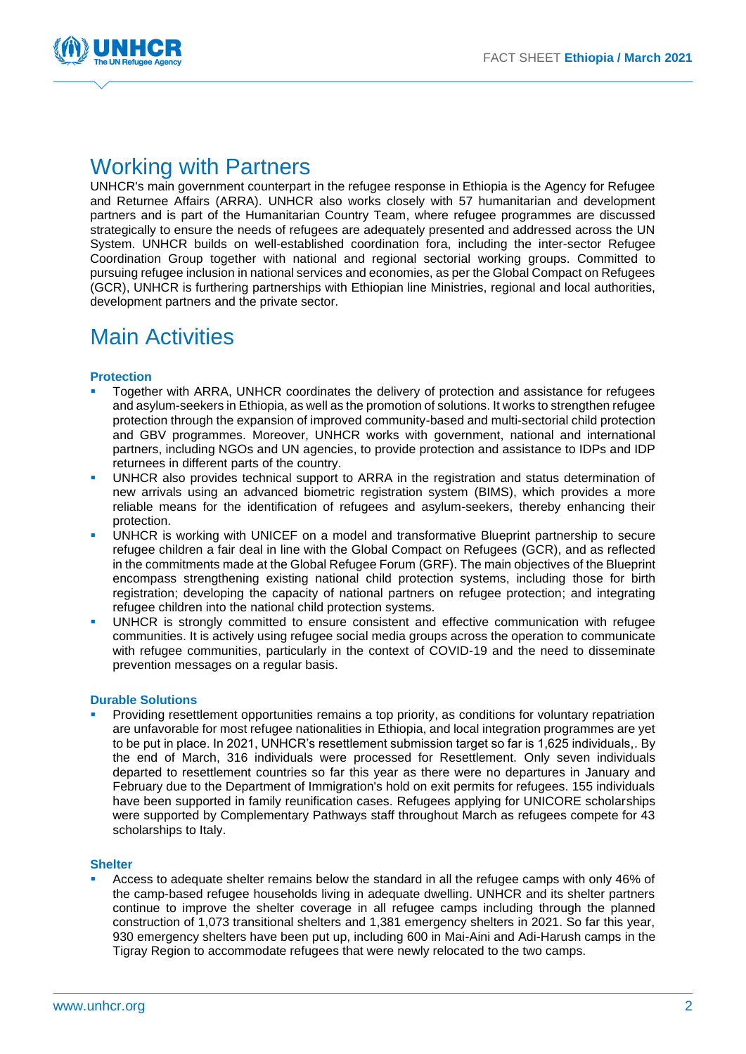

### Working with Partners

UNHCR's main government counterpart in the refugee response in Ethiopia is the Agency for Refugee and Returnee Affairs (ARRA). UNHCR also works closely with 57 humanitarian and development partners and is part of the Humanitarian Country Team, where refugee programmes are discussed strategically to ensure the needs of refugees are adequately presented and addressed across the UN System. UNHCR builds on well-established coordination fora, including the inter-sector Refugee Coordination Group together with national and regional sectorial working groups. Committed to pursuing refugee inclusion in national services and economies, as per the Global Compact on Refugees (GCR), UNHCR is furthering partnerships with Ethiopian line Ministries, regional and local authorities, development partners and the private sector.

### Main Activities

#### **Protection**

- Together with ARRA, UNHCR coordinates the delivery of protection and assistance for refugees and asylum-seekers in Ethiopia, as well as the promotion of solutions. It works to strengthen refugee protection through the expansion of improved community-based and multi-sectorial child protection and GBV programmes. Moreover, UNHCR works with government, national and international partners, including NGOs and UN agencies, to provide protection and assistance to IDPs and IDP returnees in different parts of the country.
- UNHCR also provides technical support to ARRA in the registration and status determination of new arrivals using an advanced biometric registration system (BIMS), which provides a more reliable means for the identification of refugees and asylum-seekers, thereby enhancing their protection.
- UNHCR is working with UNICEF on a model and transformative Blueprint partnership to secure refugee children a fair deal in line with the Global Compact on Refugees (GCR), and as reflected in the commitments made at the Global Refugee Forum (GRF). The main objectives of the Blueprint encompass strengthening existing national child protection systems, including those for birth registration; developing the capacity of national partners on refugee protection; and integrating refugee children into the national child protection systems.
- UNHCR is strongly committed to ensure consistent and effective communication with refugee communities. It is actively using refugee social media groups across the operation to communicate with refugee communities, particularly in the context of COVID-19 and the need to disseminate prevention messages on a regular basis.

#### **Durable Solutions**

Providing resettlement opportunities remains a top priority, as conditions for voluntary repatriation are unfavorable for most refugee nationalities in Ethiopia, and local integration programmes are yet to be put in place. In 2021, UNHCR's resettlement submission target so far is 1,625 individuals,. By the end of March, 316 individuals were processed for Resettlement. Only seven individuals departed to resettlement countries so far this year as there were no departures in January and February due to the Department of Immigration's hold on exit permits for refugees. 155 individuals have been supported in family reunification cases. Refugees applying for UNICORE scholarships were supported by Complementary Pathways staff throughout March as refugees compete for 43 scholarships to Italy.

#### **Shelter**

▪ Access to adequate shelter remains below the standard in all the refugee camps with only 46% of the camp-based refugee households living in adequate dwelling. UNHCR and its shelter partners continue to improve the shelter coverage in all refugee camps including through the planned construction of 1,073 transitional shelters and 1,381 emergency shelters in 2021. So far this year, 930 emergency shelters have been put up, including 600 in Mai-Aini and Adi-Harush camps in the Tigray Region to accommodate refugees that were newly relocated to the two camps.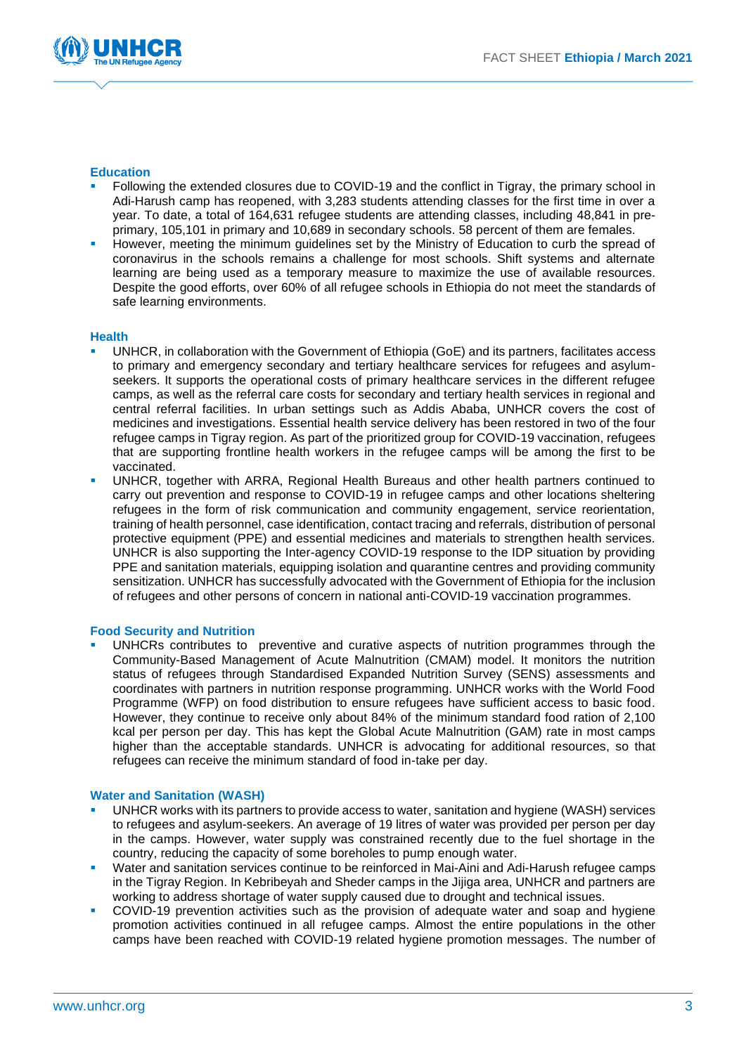

#### **Education**

- Following the extended closures due to COVID-19 and the conflict in Tigray, the primary school in Adi-Harush camp has reopened, with 3,283 students attending classes for the first time in over a year. To date, a total of 164,631 refugee students are attending classes, including 48,841 in preprimary, 105,101 in primary and 10,689 in secondary schools. 58 percent of them are females.
- However, meeting the minimum guidelines set by the Ministry of Education to curb the spread of coronavirus in the schools remains a challenge for most schools. Shift systems and alternate learning are being used as a temporary measure to maximize the use of available resources. Despite the good efforts, over 60% of all refugee schools in Ethiopia do not meet the standards of safe learning environments.

#### **Health**

- UNHCR, in collaboration with the Government of Ethiopia (GoE) and its partners, facilitates access to primary and emergency secondary and tertiary healthcare services for refugees and asylumseekers. It supports the operational costs of primary healthcare services in the different refugee camps, as well as the referral care costs for secondary and tertiary health services in regional and central referral facilities. In urban settings such as Addis Ababa, UNHCR covers the cost of medicines and investigations. Essential health service delivery has been restored in two of the four refugee camps in Tigray region. As part of the prioritized group for COVID-19 vaccination, refugees that are supporting frontline health workers in the refugee camps will be among the first to be vaccinated.
- UNHCR, together with ARRA, Regional Health Bureaus and other health partners continued to carry out prevention and response to COVID-19 in refugee camps and other locations sheltering refugees in the form of risk communication and community engagement, service reorientation, training of health personnel, case identification, contact tracing and referrals, distribution of personal protective equipment (PPE) and essential medicines and materials to strengthen health services. UNHCR is also supporting the Inter-agency COVID-19 response to the IDP situation by providing PPE and sanitation materials, equipping isolation and quarantine centres and providing community sensitization. UNHCR has successfully advocated with the Government of Ethiopia for the inclusion of refugees and other persons of concern in national anti-COVID-19 vaccination programmes.

#### **Food Security and Nutrition**

UNHCRs contributes to preventive and curative aspects of nutrition programmes through the Community-Based Management of Acute Malnutrition (CMAM) model. It monitors the nutrition status of refugees through Standardised Expanded Nutrition Survey (SENS) assessments and coordinates with partners in nutrition response programming. UNHCR works with the World Food Programme (WFP) on food distribution to ensure refugees have sufficient access to basic food. However, they continue to receive only about 84% of the minimum standard food ration of 2,100 kcal per person per day. This has kept the Global Acute Malnutrition (GAM) rate in most camps higher than the acceptable standards. UNHCR is advocating for additional resources, so that refugees can receive the minimum standard of food in-take per day.

#### **Water and Sanitation (WASH)**

- UNHCR works with its partners to provide access to water, sanitation and hygiene (WASH) services to refugees and asylum-seekers. An average of 19 litres of water was provided per person per day in the camps. However, water supply was constrained recently due to the fuel shortage in the country, reducing the capacity of some boreholes to pump enough water.
- Water and sanitation services continue to be reinforced in Mai-Aini and Adi-Harush refugee camps in the Tigray Region. In Kebribeyah and Sheder camps in the Jijiga area, UNHCR and partners are working to address shortage of water supply caused due to drought and technical issues.
- COVID-19 prevention activities such as the provision of adequate water and soap and hygiene promotion activities continued in all refugee camps. Almost the entire populations in the other camps have been reached with COVID-19 related hygiene promotion messages. The number of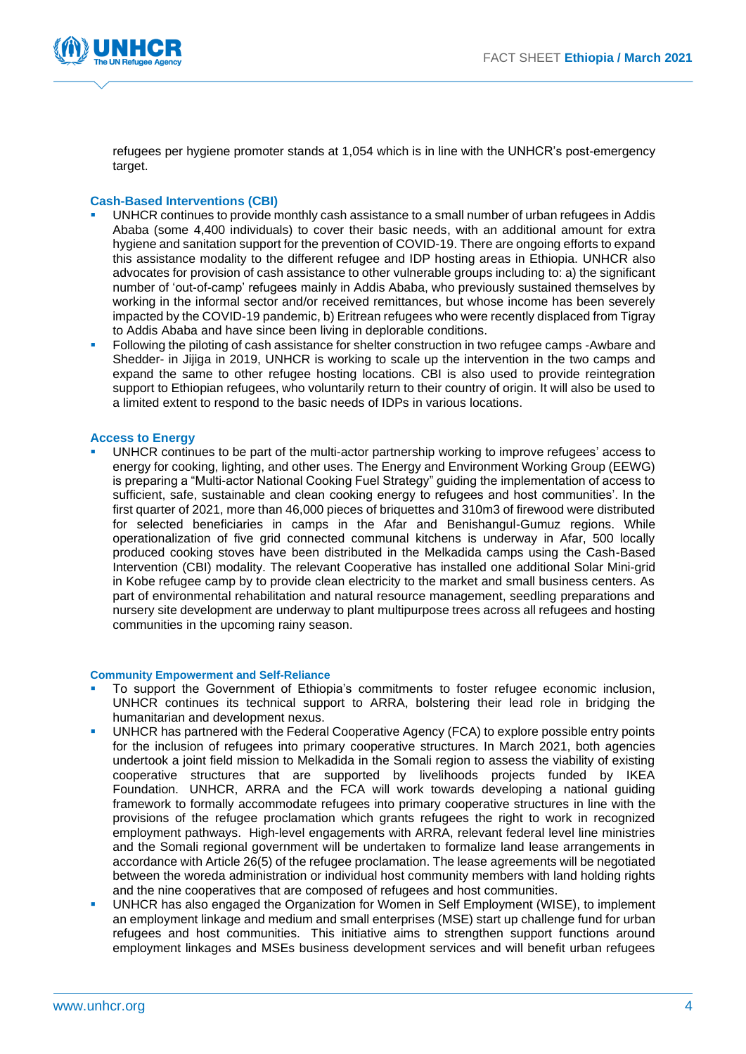

refugees per hygiene promoter stands at 1,054 which is in line with the UNHCR's post-emergency target.

#### **Cash-Based Interventions (CBI)**

- UNHCR continues to provide monthly cash assistance to a small number of urban refugees in Addis Ababa (some 4,400 individuals) to cover their basic needs, with an additional amount for extra hygiene and sanitation support for the prevention of COVID-19. There are ongoing efforts to expand this assistance modality to the different refugee and IDP hosting areas in Ethiopia. UNHCR also advocates for provision of cash assistance to other vulnerable groups including to: a) the significant number of 'out-of-camp' refugees mainly in Addis Ababa, who previously sustained themselves by working in the informal sector and/or received remittances, but whose income has been severely impacted by the COVID-19 pandemic, b) Eritrean refugees who were recently displaced from Tigray to Addis Ababa and have since been living in deplorable conditions.
- Following the piloting of cash assistance for shelter construction in two refugee camps -Awbare and Shedder- in Jijiga in 2019, UNHCR is working to scale up the intervention in the two camps and expand the same to other refugee hosting locations. CBI is also used to provide reintegration support to Ethiopian refugees, who voluntarily return to their country of origin. It will also be used to a limited extent to respond to the basic needs of IDPs in various locations.

#### **Access to Energy**

UNHCR continues to be part of the multi-actor partnership working to improve refugees' access to energy for cooking, lighting, and other uses. The Energy and Environment Working Group (EEWG) is preparing a "Multi-actor National Cooking Fuel Strategy" guiding the implementation of access to sufficient, safe, sustainable and clean cooking energy to refugees and host communities'. In the first quarter of 2021, more than 46,000 pieces of briquettes and 310m3 of firewood were distributed for selected beneficiaries in camps in the Afar and Benishangul-Gumuz regions. While operationalization of five grid connected communal kitchens is underway in Afar, 500 locally produced cooking stoves have been distributed in the Melkadida camps using the Cash-Based Intervention (CBI) modality. The relevant Cooperative has installed one additional Solar Mini-grid in Kobe refugee camp by to provide clean electricity to the market and small business centers. As part of environmental rehabilitation and natural resource management, seedling preparations and nursery site development are underway to plant multipurpose trees across all refugees and hosting communities in the upcoming rainy season.

#### **Community Empowerment and Self-Reliance**

- To support the Government of Ethiopia's commitments to foster refugee economic inclusion, UNHCR continues its technical support to ARRA, bolstering their lead role in bridging the humanitarian and development nexus.
- UNHCR has partnered with the Federal Cooperative Agency (FCA) to explore possible entry points for the inclusion of refugees into primary cooperative structures. In March 2021, both agencies undertook a joint field mission to Melkadida in the Somali region to assess the viability of existing cooperative structures that are supported by livelihoods projects funded by IKEA Foundation. UNHCR, ARRA and the FCA will work towards developing a national guiding framework to formally accommodate refugees into primary cooperative structures in line with the provisions of the refugee proclamation which grants refugees the right to work in recognized employment pathways. High-level engagements with ARRA, relevant federal level line ministries and the Somali regional government will be undertaken to formalize land lease arrangements in accordance with Article 26(5) of the refugee proclamation. The lease agreements will be negotiated between the woreda administration or individual host community members with land holding rights and the nine cooperatives that are composed of refugees and host communities.
- UNHCR has also engaged the Organization for Women in Self Employment (WISE), to implement an employment linkage and medium and small enterprises (MSE) start up challenge fund for urban refugees and host communities. This initiative aims to strengthen support functions around employment linkages and MSEs business development services and will benefit urban refugees